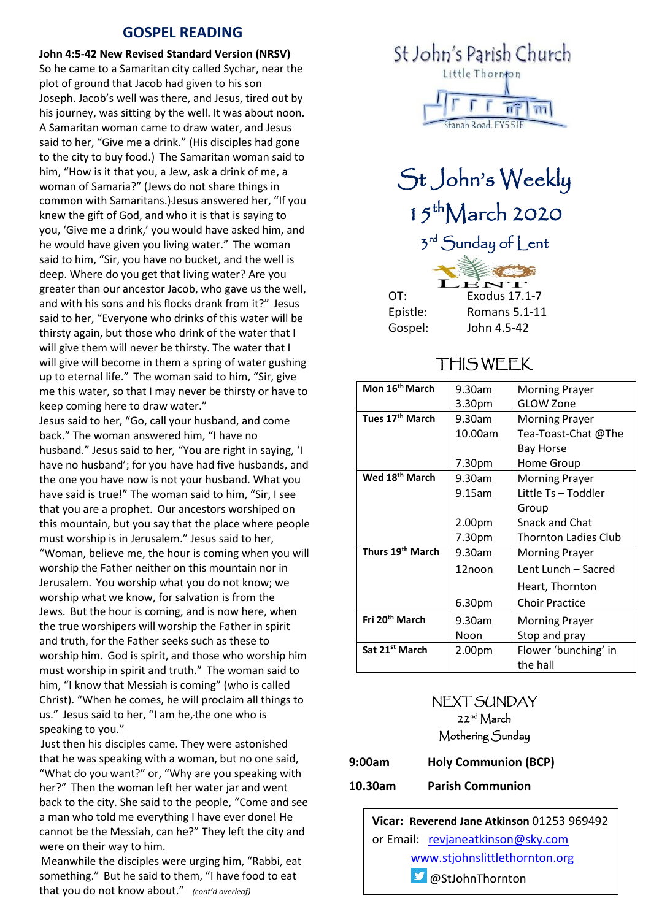## **GOSPEL READING**

**John 4:5-42 New Revised Standard Version (NRSV)** So he came to a Samaritan city called Sychar, near the plot of ground that Jacob had given to his son Joseph. Jacob's well was there, and Jesus, tired out by his journey, was sitting by the well. It was about noon. A Samaritan woman came to draw water, and Jesus said to her, "Give me a drink." (His disciples had gone to the city to buy food.) The Samaritan woman said to him, "How is it that you, a Jew, ask a drink of me, a woman of Samaria?" (Jews do not share things in common with Samaritans.)Jesus answered her, "If you knew the gift of God, and who it is that is saying to you, 'Give me a drink,' you would have asked him, and he would have given you living water." The woman said to him, "Sir, you have no bucket, and the well is deep. Where do you get that living water? Are you greater than our ancestor Jacob, who gave us the well, and with his sons and his flocks drank from it?" Jesus said to her, "Everyone who drinks of this water will be thirsty again, but those who drink of the water that I will give them will never be thirsty. The water that I will give will become in them a spring of water gushing up to eternal life." The woman said to him, "Sir, give me this water, so that I may never be thirsty or have to keep coming here to draw water."

Jesus said to her, "Go, call your husband, and come back." The woman answered him, "I have no husband." Jesus said to her, "You are right in saying, 'I have no husband'; for you have had five husbands, and the one you have now is not your husband. What you have said is true!" The woman said to him, "Sir, I see that you are a prophet. Our ancestors worshiped on this mountain, but you say that the place where people must worship is in Jerusalem." Jesus said to her, "Woman, believe me, the hour is coming when you will worship the Father neither on this mountain nor in Jerusalem. You worship what you do not know; we worship what we know, for salvation is from the Jews. But the hour is coming, and is now here, when the true worshipers will worship the Father in spirit and truth, for the Father seeks such as these to worship him. God is spirit, and those who worship him must worship in spirit and truth." The woman said to him, "I know that Messiah is coming" (who is called Christ). "When he comes, he will proclaim all things to us." Jesus said to her, "I am he,the one who is speaking to you."

Just then his disciples came. They were astonished that he was speaking with a woman, but no one said, "What do you want?" or, "Why are you speaking with her?" Then the woman left her water jar and went back to the city. She said to the people, "Come and see a man who told me everything I have ever done! He cannot be the Messiah, can he?" They left the city and were on their way to him.

Meanwhile the disciples were urging him, "Rabbi, eat something." But he said to them, "I have food to eat that you do not know about." *(cont'd overleaf)*



St John's Weekly 15<sup>th</sup>March 2020 3<sup>rd</sup> Sunday of Lent OT: Exodus 17.1-7 Epistle: Romans 5.1-11

Gospel: John 4.5-42

# THIS WEEK

| Mon 16 <sup>th</sup> March  | 9.30am  | <b>Morning Prayer</b>       |  |
|-----------------------------|---------|-----------------------------|--|
|                             | 3.30pm  | <b>GLOW Zone</b>            |  |
| Tues 17 <sup>th</sup> March | 9.30am  | <b>Morning Prayer</b>       |  |
|                             | 10.00am | Tea-Toast-Chat @The         |  |
|                             |         | <b>Bay Horse</b>            |  |
|                             | 7.30pm  | Home Group                  |  |
| Wed 18 <sup>th</sup> March  | 9.30am  | <b>Morning Prayer</b>       |  |
|                             | 9.15am  | Little Ts - Toddler         |  |
|                             |         | Group                       |  |
|                             | 2.00pm  | Snack and Chat              |  |
|                             | 7.30pm  | <b>Thornton Ladies Club</b> |  |
| Thurs 19th March            | 9.30am  | <b>Morning Prayer</b>       |  |
|                             | 12noon  | Lent Lunch - Sacred         |  |
|                             |         | Heart, Thornton             |  |
|                             | 6.30pm  | <b>Choir Practice</b>       |  |
| Fri 20 <sup>th</sup> March  | 9.30am  | <b>Morning Prayer</b>       |  |
|                             | Noon    | Stop and pray               |  |
| Sat 21st March              | 2.00pm  | Flower 'bunching' in        |  |
|                             |         | the hall                    |  |

# NEXT SUNDAY 22nd March Mothering Sunday

- **9:00am Holy Communion (BCP)**
- **10.30am Parish Communion**

# **Vicar: Reverend Jane Atkinson** 01253 969492 or Email: [revjaneatkinson@sky.com](mailto:revjaneatkinson@sky.com) [www.stjohnslittlethornton.org](http://www.stjohnslittlethornton.org/) @StJohnThornton